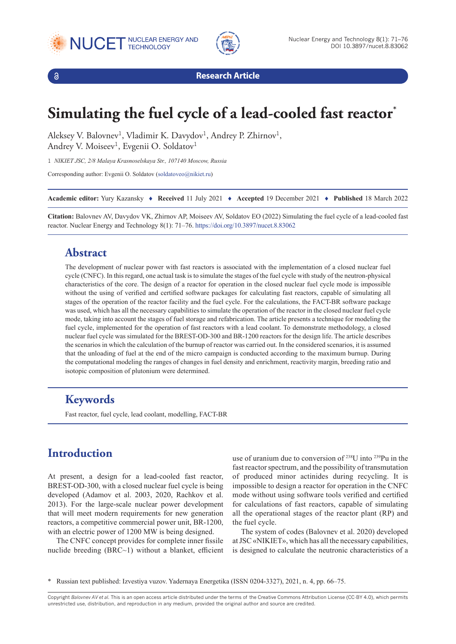





**Research Article**

# **Simulating the fuel cycle of a lead-cooled fast reactor\***

Aleksey V. Balovnev<sup>1</sup>, Vladimir K. Davydov<sup>1</sup>, Andrey P. Zhirnov<sup>1</sup>, Andrey V. Moiseev<sup>1</sup>, Evgenii O. Soldatov<sup>1</sup>

1 *NIKIET JSC, 2/8 Malaya Krasnoselskaya Str., 107140 Moscow, Russia*

Corresponding author: Evgenii O. Soldatov [\(soldatoveo@nikiet.ru](mailto:soldatoveo@nikiet.ru))

**Academic editor:** Yury Kazansky ♦ **Received** 11 July 2021 ♦ **Accepted** 19 December 2021 ♦ **Published** 18 March 2022

**Citation:** Balovnev AV, Davydov VK, Zhirnov AP, Moiseev AV, Soldatov EO (2022) Simulating the fuel cycle of a lead-cooled fast reactor. Nuclear Energy and Technology 8(1): 71–76.<https://doi.org/10.3897/nucet.8.83062>

#### **Abstract**

The development of nuclear power with fast reactors is associated with the implementation of a closed nuclear fuel cycle (CNFC). In this regard, one actual task is to simulate the stages of the fuel cycle with study of the neutron-physical characteristics of the core. The design of a reactor for operation in the closed nuclear fuel cycle mode is impossible without the using of verified and certified software packages for calculating fast reactors, capable of simulating all stages of the operation of the reactor facility and the fuel cycle. For the calculations, the FACT-BR software package was used, which has all the necessary capabilities to simulate the operation of the reactor in the closed nuclear fuel cycle mode, taking into account the stages of fuel storage and refabrication. The article presents a technique for modeling the fuel cycle, implemented for the operation of fast reactors with a lead coolant. To demonstrate methodology, a closed nuclear fuel cycle was simulated for the BREST-OD-300 and BR-1200 reactors for the design life. The article describes the scenarios in which the calculation of the burnup of reactor was carried out. In the considered scenarios, it is assumed that the unloading of fuel at the end of the micro campaign is conducted according to the maximum burnup. During the computational modeling the ranges of changes in fuel density and enrichment, reactivity margin, breeding ratio and isotopic composition of plutonium were determined.

# **Keywords**

Fast reactor, fuel cycle, lead coolant, modelling, FACT-BR

# **Introduction**

At present, a design for a lead-cooled fast reactor, BREST-OD-300, with a closed nuclear fuel cycle is being developed (Adamov et al. 2003, 2020, Rachkov et al. 2013). For the large-scale nuclear power development that will meet modern requirements for new generation reactors, a competitive commercial power unit, BR-1200, with an electric power of 1200 MW is being designed.

The CNFC concept provides for complete inner fissile nuclide breeding (BRC~1) without a blanket, efficient

use of uranium due to conversion of 238U into 239Pu in the fast reactor spectrum, and the possibility of transmutation of produced minor actinides during recycling. It is impossible to design a reactor for operation in the CNFC mode without using software tools verified and certified for calculations of fast reactors, capable of simulating all the operational stages of the reactor plant (RP) and the fuel cycle.

The system of codes (Balovnev et al. 2020) developed at JSC «NIKIET», which has all the necessary capabilities, is designed to calculate the neutronic characteristics of a

Copyright *Balovnev AV et al.* This is an open access article distributed under the terms of the Creative Commons Attribution License (CC-BY 4.0), which permits unrestricted use, distribution, and reproduction in any medium, provided the original author and source are credited.

<sup>\*</sup> Russian text published: Izvestiya vuzov. Yadernaya Energetika (ISSN 0204-3327), 2021, n. 4, pp. 66–75.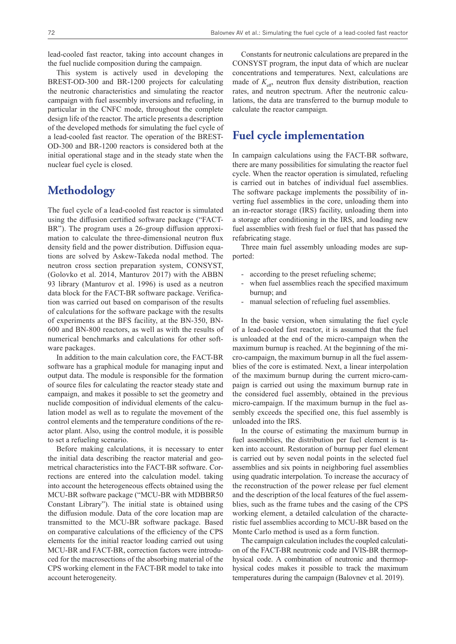lead-cooled fast reactor, taking into account changes in the fuel nuclide composition during the campaign.

This system is actively used in developing the BREST-OD-300 and BR-1200 projects for calculating the neutronic characteristics and simulating the reactor campaign with fuel assembly inversions and refueling, in particular in the CNFC mode, throughout the complete design life of the reactor. The article presents a description of the developed methods for simulating the fuel cycle of a lead-cooled fast reactor. The operation of the BREST-OD-300 and BR-1200 reactors is considered both at the initial operational stage and in the steady state when the nuclear fuel cycle is closed.

# **Methodology**

The fuel cycle of a lead-cooled fast reactor is simulated using the diffusion certified software package ("FACT-BR"). The program uses a 26-group diffusion approximation to calculate the three-dimensional neutron flux density field and the power distribution. Diffusion equations are solved by Askew-Takeda nodal method. The neutron cross section preparation system, CONSYST, (Golovko et al. 2014, Manturov 2017) with the ABBN 93 library (Manturov et al. 1996) is used as a neutron data block for the FACT-BR software package. Verification was carried out based on comparison of the results of calculations for the software package with the results of experiments at the BFS facility, at the BN-350, BN-600 and BN-800 reactors, as well as with the results of numerical benchmarks and calculations for other software packages.

In addition to the main calculation core, the FACT-BR software has a graphical module for managing input and output data. The module is responsible for the formation of source files for calculating the reactor steady state and campaign, and makes it possible to set the geometry and nuclide composition of individual elements of the calculation model as well as to regulate the movement of the control elements and the temperature conditions of the reactor plant. Also, using the control module, it is possible to set a refueling scenario.

Before making calculations, it is necessary to enter the initial data describing the reactor material and geometrical characteristics into the FACT-BR software. Corrections are entered into the calculation model. taking into account the heterogeneous effects obtained using the MCU-BR software package ("MCU-BR with MDBBR50 Constant Library"). The initial state is obtained using the diffusion module. Data of the core location map are transmitted to the MCU-BR software package. Based on comparative calculations of the efficiency of the CPS elements for the initial reactor loading carried out using MCU-BR and FACT-BR, correction factors were introduced for the macrosections of the absorbing material of the CPS working element in the FACT-BR model to take into account heterogeneity.

Constants for neutronic calculations are prepared in the CONSYST program, the input data of which are nuclear concentrations and temperatures. Next, calculations are made of  $K_{\text{eff}}$ , neutron flux density distribution, reaction rates, and neutron spectrum. After the neutronic calculations, the data are transferred to the burnup module to calculate the reactor campaign.

#### **Fuel cycle implementation**

In campaign calculations using the FACT-BR software, there are many possibilities for simulating the reactor fuel cycle. When the reactor operation is simulated, refueling is carried out in batches of individual fuel assemblies. The software package implements the possibility of inverting fuel assemblies in the core, unloading them into an in-reactor storage (IRS) facility, unloading them into a storage after conditioning in the IRS, and loading new fuel assemblies with fresh fuel or fuel that has passed the refabricating stage.

Three main fuel assembly unloading modes are supported:

- according to the preset refueling scheme;
- when fuel assemblies reach the specified maximum burnup; and
- manual selection of refueling fuel assemblies.

In the basic version, when simulating the fuel cycle of a lead-cooled fast reactor, it is assumed that the fuel is unloaded at the end of the micro-campaign when the maximum burnup is reached. At the beginning of the micro-campaign, the maximum burnup in all the fuel assemblies of the core is estimated. Next, a linear interpolation of the maximum burnup during the current micro-campaign is carried out using the maximum burnup rate in the considered fuel assembly, obtained in the previous micro-campaign. If the maximum burnup in the fuel assembly exceeds the specified one, this fuel assembly is unloaded into the IRS.

In the course of estimating the maximum burnup in fuel assemblies, the distribution per fuel element is taken into account. Restoration of burnup per fuel element is carried out by seven nodal points in the selected fuel assemblies and six points in neighboring fuel assemblies using quadratic interpolation. To increase the accuracy of the reconstruction of the power release per fuel element and the description of the local features of the fuel assemblies, such as the frame tubes and the casing of the CPS working element, a detailed calculation of the characteristic fuel assemblies according to MCU-BR based on the Monte Carlo method is used as a form function.

The campaign calculation includes the coupled calculation of the FACT-BR neutronic code and IVIS-BR thermophysical code. A combination of neutronic and thermophysical codes makes it possible to track the maximum temperatures during the campaign (Balovnev et al. 2019).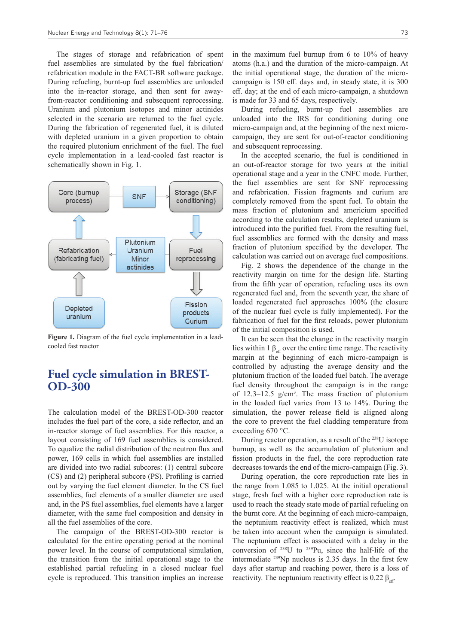The stages of storage and refabrication of spent fuel assemblies are simulated by the fuel fabrication/ refabrication module in the FACT-BR software package. During refueling, burnt-up fuel assemblies are unloaded into the in-reactor storage, and then sent for awayfrom-reactor conditioning and subsequent reprocessing. Uranium and plutonium isotopes and minor actinides selected in the scenario are returned to the fuel cycle. During the fabrication of regenerated fuel, it is diluted with depleted uranium in a given proportion to obtain the required plutonium enrichment of the fuel. The fuel cycle implementation in a lead-cooled fast reactor is schematically shown in Fig. 1.



**Figure 1.** Diagram of the fuel cycle implementation in a leadcooled fast reactor

# **Fuel cycle simulation in BREST-OD-300**

The calculation model of the BREST-OD-300 reactor includes the fuel part of the core, a side reflector, and an in-reactor storage of fuel assemblies. For this reactor, a layout consisting of 169 fuel assemblies is considered. To equalize the radial distribution of the neutron flux and power, 169 cells in which fuel assemblies are installed are divided into two radial subcores: (1) central subcore (CS) and (2) peripheral subcore (PS). Profiling is carried out by varying the fuel element diameter. In the CS fuel assemblies, fuel elements of a smaller diameter are used and, in the PS fuel assemblies, fuel elements have a larger diameter, with the same fuel composition and density in all the fuel assemblies of the core.

The campaign of the BREST-OD-300 reactor is calculated for the entire operating period at the nominal power level. In the course of computational simulation, the transition from the initial operational stage to the established partial refueling in a closed nuclear fuel cycle is reproduced. This transition implies an increase

in the maximum fuel burnup from 6 to 10% of heavy atoms (h.a.) and the duration of the micro-campaign. At the initial operational stage, the duration of the microcampaign is 150 eff. days and, in steady state, it is 300 eff. day; at the end of each micro-campaign, a shutdown is made for 33 and 65 days, respectively.

During refueling, burnt-up fuel assemblies are unloaded into the IRS for conditioning during one micro-campaign and, at the beginning of the next microcampaign, they are sent for out-of-reactor conditioning and subsequent reprocessing.

In the accepted scenario, the fuel is conditioned in an out-of-reactor storage for two years at the initial operational stage and a year in the CNFC mode. Further, the fuel assemblies are sent for SNF reprocessing and refabrication. Fission fragments and curium are completely removed from the spent fuel. To obtain the mass fraction of plutonium and americium specified according to the calculation results, depleted uranium is introduced into the purified fuel. From the resulting fuel, fuel assemblies are formed with the density and mass fraction of plutonium specified by the developer. The calculation was carried out on average fuel compositions.

Fig. 2 shows the dependence of the change in the reactivity margin on time for the design life. Starting from the fifth year of operation, refueling uses its own regenerated fuel and, from the seventh year, the share of loaded regenerated fuel approaches 100% (the closure of the nuclear fuel cycle is fully implemented). For the fabrication of fuel for the first reloads, power plutonium of the initial composition is used.

It can be seen that the change in the reactivity margin lies within 1  $\beta_{\text{eff}}$  over the entire time range. The reactivity margin at the beginning of each micro-campaign is controlled by adjusting the average density and the plutonium fraction of the loaded fuel batch. The average fuel density throughout the campaign is in the range of  $12.3-12.5$  g/cm<sup>3</sup>. The mass fraction of plutonium in the loaded fuel varies from 13 to 14%. During the simulation, the power release field is aligned along the core to prevent the fuel cladding temperature from exceeding 670 °С.

During reactor operation, as a result of the 238U isotope burnup, as well as the accumulation of plutonium and fission products in the fuel, the core reproduction rate decreases towards the end of the micro-campaign (Fig. 3).

During operation, the core reproduction rate lies in the range from 1.085 to 1.025. At the initial operational stage, fresh fuel with a higher core reproduction rate is used to reach the steady state mode of partial refueling on the burnt core. At the beginning of each micro-campaign, the neptunium reactivity effect is realized, which must be taken into account when the campaign is simulated. The neptunium effect is associated with a delay in the conversion of  $^{238}U$  to  $^{239}Pu$ , since the half-life of the intermediate 239Np nucleus is 2.35 days. In the first few days after startup and reaching power, there is a loss of reactivity. The neptunium reactivity effect is 0.22  $\beta_{\text{eff}}$ .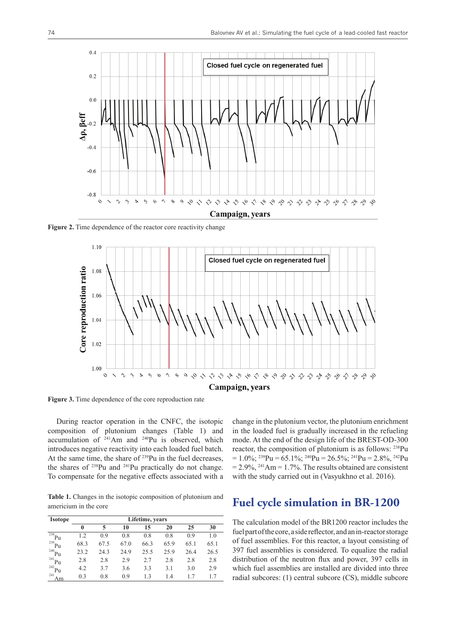

**Figure 2.** Time dependence of the reactor core reactivity change



**Figure 3.** Time dependence of the core reproduction rate

During reactor operation in the CNFC, the isotopic composition of plutonium changes (Table 1) and accumulation of 241Am and 240Pu is observed, which introduces negative reactivity into each loaded fuel batch. At the same time, the share of <sup>239</sup>Pu in the fuel decreases, the shares of  $238$ Pu and  $241$ Pu practically do not change. To compensate for the negative effects associated with a

**Table 1.** Changes in the isotopic composition of plutonium and americium in the core

| <b>Isotope</b> | Lifetime, years |      |      |      |      |      |      |  |  |  |
|----------------|-----------------|------|------|------|------|------|------|--|--|--|
|                | 0               | 5    | 10   | 15   | 20   | 25   | 30   |  |  |  |
| 238<br>Pu      | 1.2             | 0.9  | 0.8  | 0.8  | 0.8  | 0.9  | 1.0  |  |  |  |
| 239<br>Pu      | 68.3            | 67.5 | 67.0 | 66.3 | 65.9 | 65.1 | 65.1 |  |  |  |
| 240<br>Pu      | 23.2            | 24.3 | 24.9 | 25.5 | 25.9 | 26.4 | 26.5 |  |  |  |
| 241<br>Pu      | 2.8             | 2.8  | 2.9  | 2.7  | 2.8  | 2.8  | 2.8  |  |  |  |
| 242<br>Pu      | 4.2             | 3.7  | 3.6  | 3.3  | 3.1  | 3.0  | 2.9  |  |  |  |
| 241<br>Am      | 0.3             | 0.8  | 0.9  | 1.3  | 1.4  | 1.7  | 1.7  |  |  |  |

change in the plutonium vector, the plutonium enrichment in the loaded fuel is gradually increased in the refueling mode. At the end of the design life of the BREST-OD-300 reactor, the composition of plutonium is as follows: 238Pu  $= 1.0\%$ ; <sup>239</sup>Pu = 65.1%; <sup>240</sup>Pu = 26.5%; <sup>241</sup>Pu = 2.8%, <sup>242</sup>Pu  $= 2.9\%,$  <sup>241</sup>Am  $= 1.7\%$ . The results obtained are consistent with the study carried out in (Vasyukhno et al. 2016).

# **Fuel cycle simulation in BR-1200**

The calculation model of the BR1200 reactor includes the fuel part of the core, a side reflector, and an in-reactor storage of fuel assemblies. For this reactor, a layout consisting of 397 fuel assemblies is considered. To equalize the radial distribution of the neutron flux and power, 397 cells in which fuel assemblies are installed are divided into three radial subcores: (1) central subcore (CS), middle subcore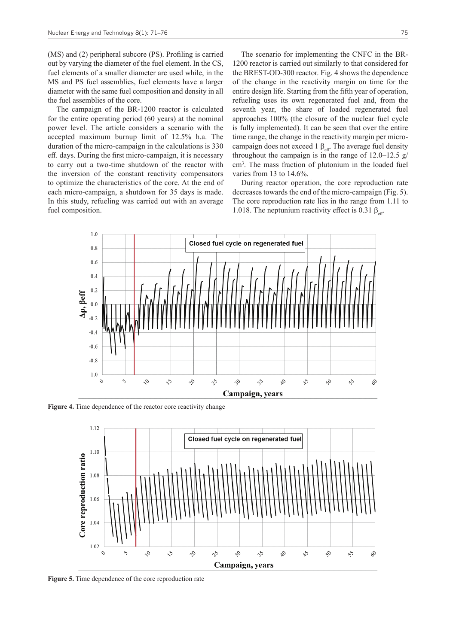(MS) and (2) peripheral subcore (PS). Profiling is carried out by varying the diameter of the fuel element. In the CS, fuel elements of a smaller diameter are used while, in the MS and PS fuel assemblies, fuel elements have a larger diameter with the same fuel composition and density in all the fuel assemblies of the core.

The campaign of the BR-1200 reactor is calculated for the entire operating period (60 years) at the nominal power level. The article considers a scenario with the accepted maximum burnup limit of 12.5% h.a. The duration of the micro-campaign in the calculations is 330 eff. days. During the first micro-campaign, it is necessary to carry out a two-time shutdown of the reactor with the inversion of the constant reactivity compensators to optimize the characteristics of the core. At the end of each micro-campaign, a shutdown for 35 days is made. In this study, refueling was carried out with an average fuel composition.

The scenario for implementing the CNFC in the BR-1200 reactor is carried out similarly to that considered for the BREST-OD-300 reactor. Fig. 4 shows the dependence of the change in the reactivity margin on time for the entire design life. Starting from the fifth year of operation, refueling uses its own regenerated fuel and, from the seventh year, the share of loaded regenerated fuel approaches 100% (the closure of the nuclear fuel cycle is fully implemented). It can be seen that over the entire time range, the change in the reactivity margin per microcampaign does not exceed 1  $\beta$ <sub>eff</sub>. The average fuel density throughout the campaign is in the range of  $12.0-12.5$  g/ cm3 . The mass fraction of plutonium in the loaded fuel varies from 13 to 14.6%.

During reactor operation, the core reproduction rate decreases towards the end of the micro-campaign (Fig. 5). The core reproduction rate lies in the range from 1.11 to 1.018. The neptunium reactivity effect is 0.31  $\beta_{\text{eff}}$ .



**Figure 4.** Time dependence of the reactor core reactivity change



**Figure 5.** Time dependence of the core reproduction rate